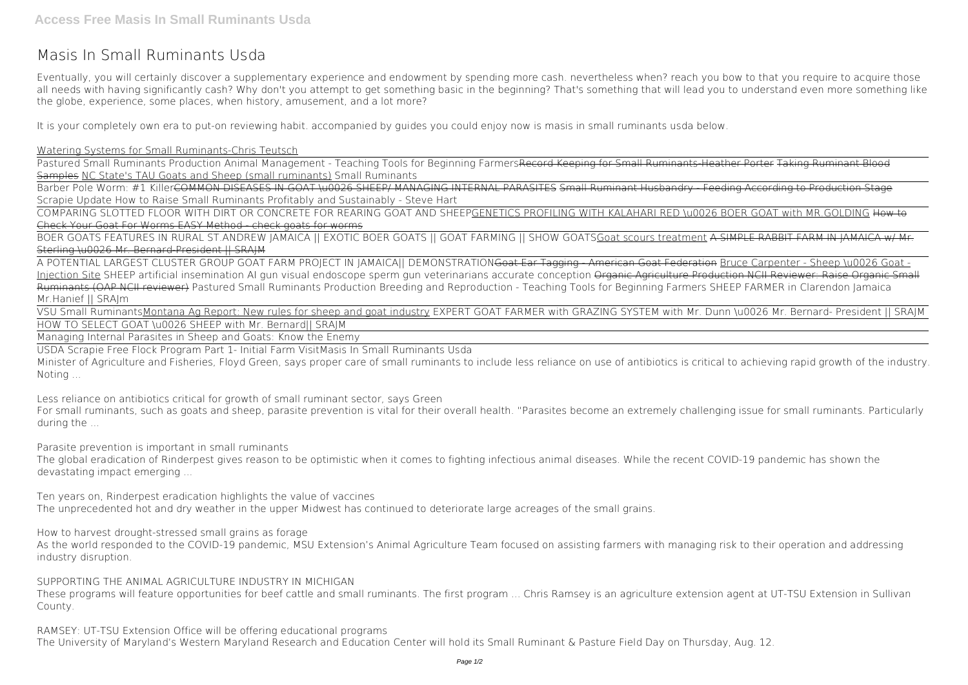## **Masis In Small Ruminants Usda**

Eventually, you will certainly discover a supplementary experience and endowment by spending more cash. nevertheless when? reach you bow to that you require to acquire those all needs with having significantly cash? Why don't you attempt to get something basic in the beginning? That's something that will lead you to understand even more something like the globe, experience, some places, when history, amusement, and a lot more?

Pastured Small Ruminants Production Animal Management - Teaching Tools for Beginning FarmersRecord Keeping for Small Ruminants-Heather Porter Taking Ruminant Blood Samples NC State's TAU Goats and Sheep (small ruminants) Small Ruminants

It is your completely own era to put-on reviewing habit. accompanied by guides you could enjoy now is **masis in small ruminants usda** below.

Barber Pole Worm: #1 KillerCOMMON DISEASES IN GOAT \u0026 SHEEP/ MANAGING INTERNAL PARASITES Small Ruminant Husbandry - Feeding According to Production Stage **Scrapie Update How to Raise Small Ruminants Profitably and Sustainably - Steve Hart**

Watering Systems for Small Ruminants-Chris Teutsch

BOER GOATS FEATURES IN RURAL ST.ANDREW JAMAICA || EXOTIC BOER GOATS || GOAT FARMING || SHOW GOATSGoat scours treatment A SIMPLE RABBIT FARM IN JAMAICA w/ Mr. Sterling \u0026 Mr. Bernard-President || SRAJM

COMPARING SLOTTED FLOOR WITH DIRT OR CONCRETE FOR REARING GOAT AND SHEEPGENETICS PROFILING WITH KALAHARI RED \u0026 BOER GOAT with MR.GOLDING How to Check Your Goat For Worms EASY Method - check goats for worms

A POTENTIAL LARGEST CLUSTER GROUP GOAT FARM PROJECT IN JAMAICA|| DEMONSTRATIONGoat Ear Tagging - American Goat Federation Bruce Carpenter - Sheep \u0026 Goat - Injection Site SHEEP artificial insemination AI gun visual endoscope sperm gun veterinarians accurate conception Organic Agriculture Production NCII Reviewer: Raise Organic Small Ruminants (OAP NCII reviewer) Pastured Small Ruminants Production Breeding and Reproduction - Teaching Tools for Beginning Farmers *SHEEP FARMER in Clarendon Jamaica Mr.Hanief || SRAJm*

VSU Small RuminantsMontana Ag Report: New rules for sheep and goat industry **EXPERT GOAT FARMER with GRAZING SYSTEM with Mr. Dunn \u0026 Mr. Bernard- President || SRAJM** HOW TO SELECT GOAT \u0026 SHEEP with Mr. Bernard|| SRAJM

Managing Internal Parasites in Sheep and Goats: Know the Enemy

USDA Scrapie Free Flock Program Part 1- Initial Farm Visit**Masis In Small Ruminants Usda**

Minister of Agriculture and Fisheries, Floyd Green, says proper care of small ruminants to include less reliance on use of antibiotics is critical to achieving rapid growth of the industry. Noting ...

**Less reliance on antibiotics critical for growth of small ruminant sector, says Green**

For small ruminants, such as goats and sheep, parasite prevention is vital for their overall health. "Parasites become an extremely challenging issue for small ruminants. Particularly during the ...

**Parasite prevention is important in small ruminants**

The global eradication of Rinderpest gives reason to be optimistic when it comes to fighting infectious animal diseases. While the recent COVID-19 pandemic has shown the devastating impact emerging ...

**Ten years on, Rinderpest eradication highlights the value of vaccines**

The unprecedented hot and dry weather in the upper Midwest has continued to deteriorate large acreages of the small grains.

**How to harvest drought-stressed small grains as forage**

As the world responded to the COVID-19 pandemic, MSU Extension's Animal Agriculture Team focused on assisting farmers with managing risk to their operation and addressing industry disruption.

**SUPPORTING THE ANIMAL AGRICULTURE INDUSTRY IN MICHIGAN**

These programs will feature opportunities for beef cattle and small ruminants. The first program ... Chris Ramsey is an agriculture extension agent at UT-TSU Extension in Sullivan County.

**RAMSEY: UT-TSU Extension Office will be offering educational programs** The University of Maryland's Western Maryland Research and Education Center will hold its Small Ruminant & Pasture Field Day on Thursday, Aug. 12.